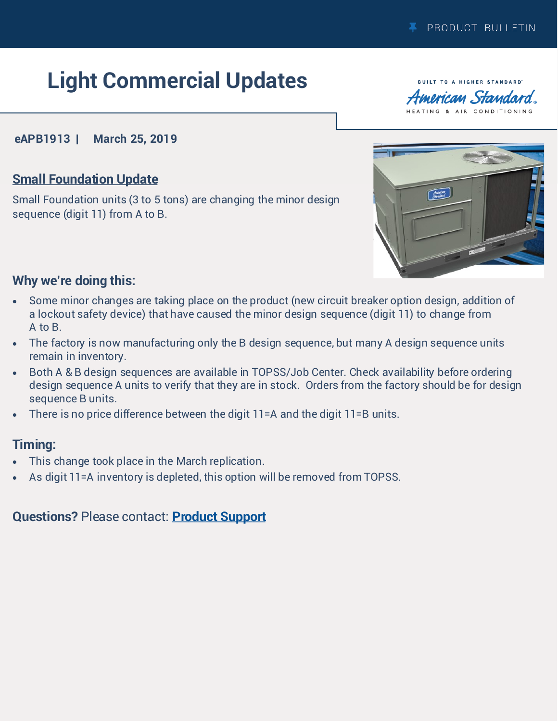# **Light Commercial Updates**

**BUILT TO A HIGHER STANDARD** merican Standard HEATING & AIR CONDITIONING

### **eAPB1913 | March 25, 2019**

# **Small Foundation Update**

Small Foundation units (3 to 5 tons) are changing the minor design sequence (digit 11) from A to B.



# **Why we're doing this:**

- Some minor changes are taking place on the product (new circuit breaker option design, addition of a lockout safety device) that have caused the minor design sequence (digit 11) to change from A to B.
- The factory is now manufacturing only the B design sequence, but many A design sequence units remain in inventory.
- Both A & B design sequences are available in TOPSS/Job Center. Check availability before ordering design sequence A units to verify that they are in stock. Orders from the factory should be for design sequence B units.
- There is no price difference between the digit 11=A and the digit 11=B units.

# **Timing:**

- This change took place in the March replication.
- As digit 11=A inventory is depleted, this option will be removed from TOPSS.

### **Questions?** Please contact: **[Product Support](mailto:lightrooftops@irco.com)**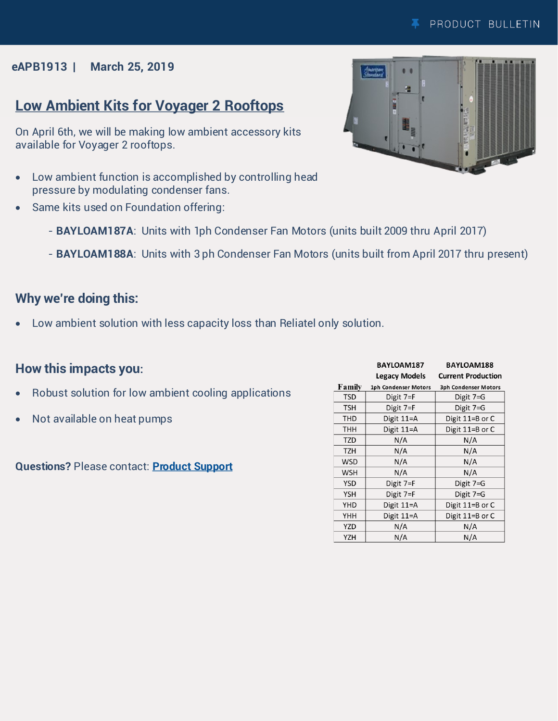### **eAPB1913 | March 25, 2019**

# **Low Ambient Kits for Voyager 2 Rooftops**

On April 6th, we will be making low ambient accessory kits available for Voyager 2 rooftops.

- Low ambient function is accomplished by controlling head pressure by modulating condenser fans.
- Same kits used on Foundation offering:
	- **BAYLOAM187A**: Units with 1ph Condenser Fan Motors (units built 2009 thru April 2017)
	- **BAYLOAM188A**: Units with 3 ph Condenser Fan Motors (units built from April 2017 thru present)

## **Why we're doing this:**

Low ambient solution with less capacity loss than Reliatel only solution.

## **How this impacts you:**

- Robust solution for low ambient cooling applications
- Not available on heat pumps

**Questions?** Please contact: **[Product Support](mailto:lightrooftops@irco.com)**

|            | <b>BAYLOAM187</b>    | <b>BAYLOAM188</b>           |
|------------|----------------------|-----------------------------|
|            | Legacy Models        | <b>Current Production</b>   |
| Family     | 1ph Condenser Motors | <b>3ph Condenser Motors</b> |
| <b>TSD</b> | Digit 7=F            | Digit 7=G                   |
| <b>TSH</b> | Digit 7=F            | Digit 7=G                   |
| <b>THD</b> | Digit $11=$ A        | Digit 11=B or C             |
| THH        | Digit 11=A           | Digit 11=B or C             |
| <b>TZD</b> | N/A                  | N/A                         |
| <b>TZH</b> | N/A                  | N/A                         |
| <b>WSD</b> | N/A                  | N/A                         |
| <b>WSH</b> | N/A                  | N/A                         |
| YSD        | Digit $7 = F$        | Digit $7 = G$               |
| <b>YSH</b> | Digit 7=F            | Digit 7=G                   |
| <b>YHD</b> | Digit $11=$ A        | Digit 11=B or C             |
| YHH        | Digit 11=A           | Digit 11=B or C             |
| <b>YZD</b> | N/A                  | N/A                         |
| Y7H        | N/A                  | N/A                         |